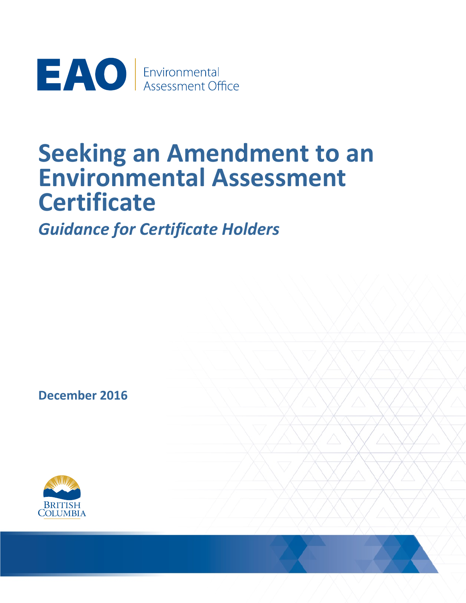

# **Seeking an Amendment to an Environmental Assessment Certificate**

*Guidance for Certificate Holders*

**December 2016**

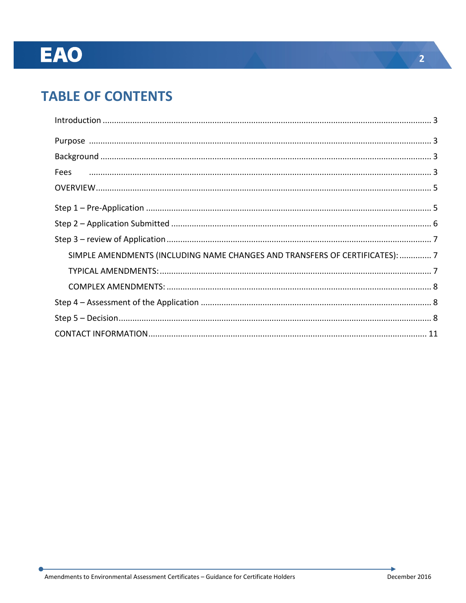## **TABLE OF CONTENTS**

| SIMPLE AMENDMENTS (INCLUDING NAME CHANGES AND TRANSFERS OF CERTIFICATES):  7 |
|------------------------------------------------------------------------------|
|                                                                              |
|                                                                              |
|                                                                              |
|                                                                              |
|                                                                              |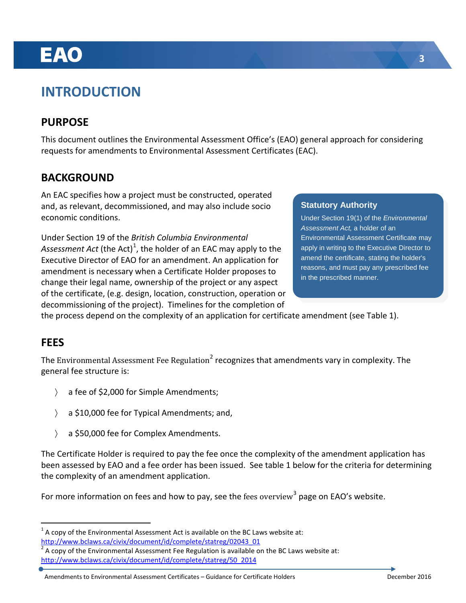## <span id="page-2-0"></span>**INTRODUCTION**

### <span id="page-2-1"></span>**PURPOSE**

This document outlines the Environmental Assessment Office's (EAO) general approach for considering requests for amendments to Environmental Assessment Certificates (EAC).

### <span id="page-2-2"></span>**BACKGROUND**

An EAC specifies how a project must be constructed, operated and, as relevant, decommissioned, and may also include socio economic conditions.

Under Section 19 of the *British Columbia Environmental*  Assessment Act (the Act)<sup>[1](#page-2-4)</sup>, the holder of an EAC may apply to the Executive Director of EAO for an amendment. An application for amendment is necessary when a Certificate Holder proposes to change their legal name, ownership of the project or any aspect of the certificate, (e.g. design, location, construction, operation or decommissioning of the project). Timelines for the completion of

#### **Statutory Authority**

Under Section 19(1) of the *Environmental Assessment Act,* a holder of an Environmental Assessment Certificate may apply in writing to the Executive Director to amend the certificate, stating the holder's reasons, and must pay any prescribed fee in the prescribed manner.

the process depend on the complexity of an application for certificate amendment (see Table 1).

### <span id="page-2-3"></span>**FEES**

The Environmental Assessment Fee Regulation<sup>[2](#page-2-5)</sup> recognizes that amendments vary in complexity. The general fee structure is:

- 〉 a fee of \$2,000 for Simple Amendments;
- 〉 a \$10,000 fee for Typical Amendments; and,
- 〉 a \$50,000 fee for Complex Amendments.

The Certificate Holder is required to pay the fee once the complexity of the amendment application has been assessed by EAO and a fee order has been issued. See table 1 below for the criteria for determining the complexity of an amendment application.

For more information on fees and how to pay, see the fees overview<sup>[3](#page-2-4)</sup> page on EAO's website.

Amendments to Environmental Assessment Certificates – Guidance for Certificate Holders December 2016

<span id="page-2-4"></span> $1$  A copy of the Environmental Assessment Act is available on the BC Laws website at: [http://www.bclaws.ca/civix/document/id/complete/statreg/02043\\_01](http://www.bclaws.ca/civix/document/id/complete/statreg/02043_01)

<span id="page-2-5"></span><sup>2</sup> A copy of the Environmental Assessment Fee Regulation is available on the BC Laws website at:

[http://www.bclaws.ca/civix/document/id/complete/statreg/50\\_2014](http://www.bclaws.ca/civix/document/id/complete/statreg/50_2014)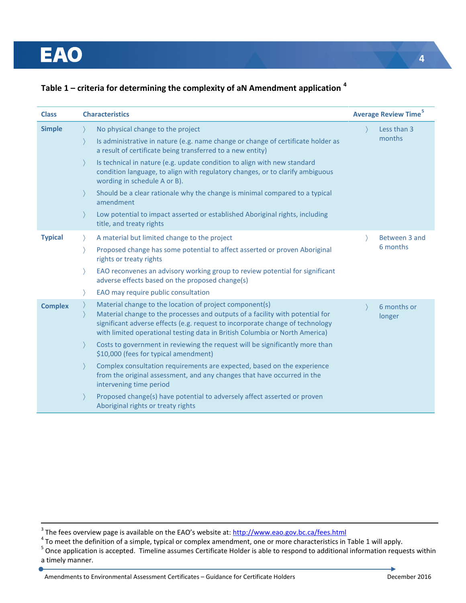### **Table 1 – criteria for determining the complexity of aN Amendment application [4](#page-3-0)**

| <b>Class</b>   | <b>Characteristics</b>                                                                                                                                                                                                                                                                                                                                                                                                                                                                                                                                                                                                                                                                                                               | <b>Average Review Time<sup>5</sup></b> |
|----------------|--------------------------------------------------------------------------------------------------------------------------------------------------------------------------------------------------------------------------------------------------------------------------------------------------------------------------------------------------------------------------------------------------------------------------------------------------------------------------------------------------------------------------------------------------------------------------------------------------------------------------------------------------------------------------------------------------------------------------------------|----------------------------------------|
| <b>Simple</b>  | No physical change to the project<br>Is administrative in nature (e.g. name change or change of certificate holder as<br>a result of certificate being transferred to a new entity)<br>Is technical in nature (e.g. update condition to align with new standard<br>condition language, to align with regulatory changes, or to clarify ambiguous<br>wording in schedule A or B).<br>Should be a clear rationale why the change is minimal compared to a typical<br>amendment<br>Low potential to impact asserted or established Aboriginal rights, including<br>$\left\langle \right\rangle$<br>title, and treaty rights                                                                                                             | Less than 3<br>months                  |
| <b>Typical</b> | A material but limited change to the project<br>Proposed change has some potential to affect asserted or proven Aboriginal<br>rights or treaty rights<br>EAO reconvenes an advisory working group to review potential for significant<br>adverse effects based on the proposed change(s)<br>EAO may require public consultation                                                                                                                                                                                                                                                                                                                                                                                                      | Between 3 and<br>6 months              |
| <b>Complex</b> | Material change to the location of project component(s)<br>Material change to the processes and outputs of a facility with potential for<br>significant adverse effects (e.g. request to incorporate change of technology<br>with limited operational testing data in British Columbia or North America)<br>Costs to government in reviewing the request will be significantly more than<br>\$10,000 (fees for typical amendment)<br>Complex consultation requirements are expected, based on the experience<br>from the original assessment, and any changes that have occurred in the<br>intervening time period<br>Proposed change(s) have potential to adversely affect asserted or proven<br>Aboriginal rights or treaty rights | 6 months or<br>longer                  |

<sup>&</sup>lt;sup>3</sup> The fees overview page is available on the EAO's website at:  $\frac{http://www.eao.gov(bc.ca/fees.html}{100}$ <br><sup>4</sup> To meet the definition of a simple, typical or complex amendment, one or more characteristics in Table 1 will apply.

<span id="page-3-1"></span><span id="page-3-0"></span><sup>5</sup> Once application is accepted. Timeline assumes Certificate Holder is able to respond to additional information requests within a timely manner.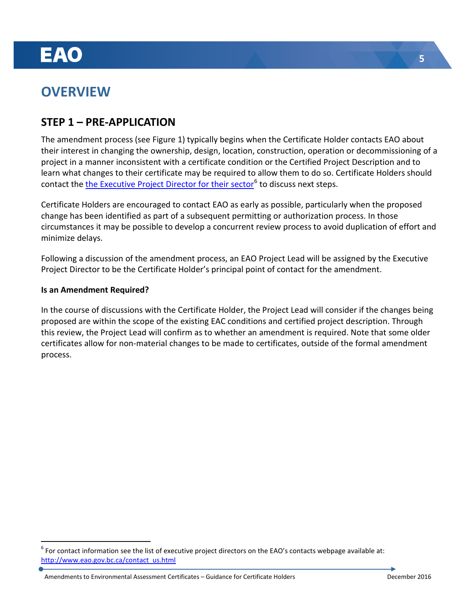## <span id="page-4-0"></span>**OVERVIEW**

## <span id="page-4-1"></span>**STEP 1 – PRE-APPLICATION**

The amendment process (see Figure 1) typically begins when the Certificate Holder contacts EAO about their interest in changing the ownership, design, location, construction, operation or decommissioning of a project in a manner inconsistent with a certificate condition or the Certified Project Description and to learn what changes to their certificate may be required to allow them to do so. Certificate Holders should contact the the Executive Project Director for their sector<sup>[6](#page-4-2)</sup> to discuss next steps.

Certificate Holders are encouraged to contact EAO as early as possible, particularly when the proposed change has been identified as part of a subsequent permitting or authorization process. In those circumstances it may be possible to develop a concurrent review process to avoid duplication of effort and minimize delays.

Following a discussion of the amendment process, an EAO Project Lead will be assigned by the Executive Project Director to be the Certificate Holder's principal point of contact for the amendment.

#### **Is an Amendment Required?**

In the course of discussions with the Certificate Holder, the Project Lead will consider if the changes being proposed are within the scope of the existing EAC conditions and certified project description. Through this review, the Project Lead will confirm as to whether an amendment is required. Note that some older certificates allow for non-material changes to be made to certificates, outside of the formal amendment process.

<span id="page-4-2"></span> $6$  For contact information see the list of executive project directors on the EAO's contacts webpage available at: [http://www.eao.gov.bc.ca/contact\\_us.html](http://www.eao.gov.bc.ca/contact_us.html)

Amendments to Environmental Assessment Certificates – Guidance for Certificate Holders December 2016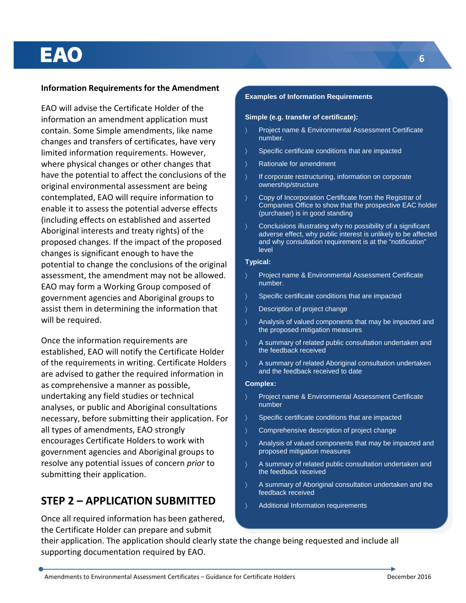#### **Information Requirements for the Amendment**

EAO will advise the Certificate Holder of the information an amendment application must contain. Some Simple amendments, like name changes and transfers of certificates, have very limited information requirements. However, where physical changes or other changes that have the potential to affect the conclusions of the original environmental assessment are being contemplated, EAO will require information to enable it to assess the potential adverse effects (including effects on established and asserted Aboriginal interests and treaty rights) of the proposed changes. If the impact of the proposed changes is significant enough to have the potential to change the conclusions of the original assessment, the amendment may not be allowed. EAO may form a Working Group composed of government agencies and Aboriginal groups to assist them in determining the information that will be required.

Once the information requirements are established, EAO will notify the Certificate Holder of the requirements in writing. Certificate Holders are advised to gather the required information in as comprehensive a manner as possible, undertaking any field studies or technical analyses, or public and Aboriginal consultations necessary, before submitting their application. For all types of amendments, EAO strongly encourages Certificate Holders to work with government agencies and Aboriginal groups to resolve any potential issues of concern *prior* to submitting their application.

### <span id="page-5-0"></span>**STEP 2 – APPLICATION SUBMITTED**

Once all required information has been gathered, the Certificate Holder can prepare and submit

#### **Examples of Information Requirements**

#### **Simple (e.g. transfer of certificate):**

- 〉 Project name & Environmental Assessment Certificate number.
- 〉 Specific certificate conditions that are impacted
- 〉 Rationale for amendment
- 〉 If corporate restructuring, information on corporate ownership/structure
- 〉 Copy of Incorporation Certificate from the Registrar of Companies Office to show that the prospective EAC holder (purchaser) is in good standing
- 〉 Conclusions illustrating why no possibility of a significant adverse effect, why public interest is unlikely to be affected and why consultation requirement is at the "notification" level

#### **Typical:**

- 〉 Project name & Environmental Assessment Certificate number.
- 〉 Specific certificate conditions that are impacted
- 〉 Description of project change
- 〉 Analysis of valued components that may be impacted and the proposed mitigation measures
- 〉 A summary of related public consultation undertaken and the feedback received
- 〉 A summary of related Aboriginal consultation undertaken and the feedback received to date

#### **Complex:**

- 〉 Project name & Environmental Assessment Certificate number
- 〉 Specific certificate conditions that are impacted
- 〉 Comprehensive description of project change
- 〉 Analysis of valued components that may be impacted and proposed mitigation measures
- 〉 A summary of related public consultation undertaken and the feedback received
- 〉 A summary of Aboriginal consultation undertaken and the feedback received
- 〉 Additional Information requirements

their application. The application should clearly state the change being requested and include all supporting documentation required by EAO.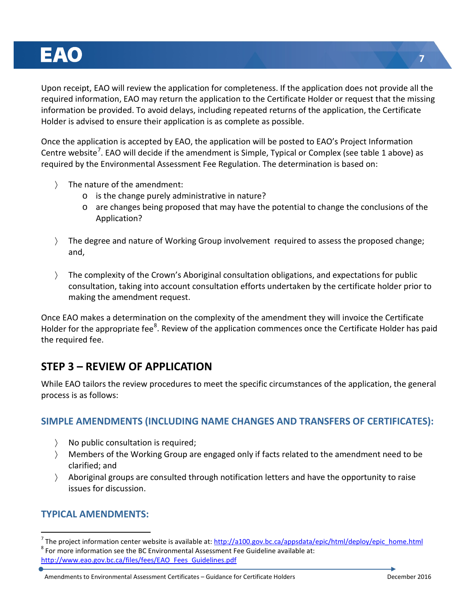Upon receipt, EAO will review the application for completeness. If the application does not provide all the required information, EAO may return the application to the Certificate Holder or request that the missing information be provided. To avoid delays, including repeated returns of the application, the Certificate Holder is advised to ensure their application is as complete as possible.

Once the application is accepted by EAO, the application will be posted to EAO's Project Information Centre website<sup>[7](#page-6-3)</sup>. EAO will decide if the amendment is Simple, Typical or Complex (see table 1 above) as required by the Environmental Assessment Fee Regulation. The determination is based on:

- 〉 The nature of the amendment:
	- o is the change purely administrative in nature?
	- o are changes being proposed that may have the potential to change the conclusions of the Application?
- 〉 The degree and nature of Working Group involvement required to assess the proposed change; and,
- 〉 The complexity of the Crown's Aboriginal consultation obligations, and expectations for public consultation, taking into account consultation efforts undertaken by the certificate holder prior to making the amendment request.

Once EAO makes a determination on the complexity of the amendment they will invoice the Certificate Holder for the appropriate fee<sup>[8](#page-6-4)</sup>. Review of the application commences once the Certificate Holder has paid the required fee.

### <span id="page-6-0"></span>**STEP 3 – REVIEW OF APPLICATION**

While EAO tailors the review procedures to meet the specific circumstances of the application, the general process is as follows:

#### <span id="page-6-1"></span>**SIMPLE AMENDMENTS (INCLUDING NAME CHANGES AND TRANSFERS OF CERTIFICATES):**

- 〉 No public consultation is required;
- 〉 Members of the Working Group are engaged only if facts related to the amendment need to be clarified; and
- 〉 Aboriginal groups are consulted through notification letters and have the opportunity to raise issues for discussion.

### <span id="page-6-2"></span>**TYPICAL AMENDMENTS:**

<span id="page-6-4"></span><span id="page-6-3"></span><sup>&</sup>lt;sup>7</sup> The project information center website is available at:  $\frac{http://a100.gov(bc.ca/appsdata/epic/html/deploy/epic_home.html}{8}$  For more information see the BC Environmental Assessment Fee Guideline available at: [http://www.eao.gov.bc.ca/files/fees/EAO\\_Fees\\_Guidelines.pdf](http://www.eao.gov.bc.ca/files/fees/EAO_Fees_Guidelines.pdf)

Amendments to Environmental Assessment Certificates – Guidance for Certificate Holders December 2016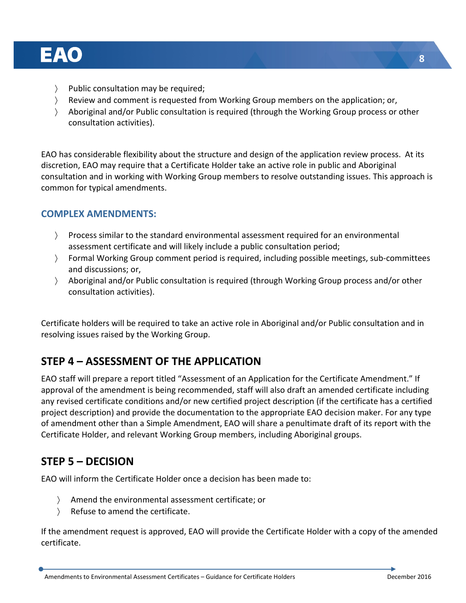- 〉 Public consultation may be required;
- 〉 Review and comment is requested from Working Group members on the application; or,
- 〉 Aboriginal and/or Public consultation is required (through the Working Group process or other consultation activities).

EAO has considerable flexibility about the structure and design of the application review process. At its discretion, EAO may require that a Certificate Holder take an active role in public and Aboriginal consultation and in working with Working Group members to resolve outstanding issues. This approach is common for typical amendments.

### <span id="page-7-0"></span>**COMPLEX AMENDMENTS:**

- 〉 Process similar to the standard environmental assessment required for an environmental assessment certificate and will likely include a public consultation period;
- 〉 Formal Working Group comment period is required, including possible meetings, sub-committees and discussions; or,
- 〉 Aboriginal and/or Public consultation is required (through Working Group process and/or other consultation activities).

Certificate holders will be required to take an active role in Aboriginal and/or Public consultation and in resolving issues raised by the Working Group.

## <span id="page-7-1"></span>**STEP 4 – ASSESSMENT OF THE APPLICATION**

EAO staff will prepare a report titled "Assessment of an Application for the Certificate Amendment." If approval of the amendment is being recommended, staff will also draft an amended certificate including any revised certificate conditions and/or new certified project description (if the certificate has a certified project description) and provide the documentation to the appropriate EAO decision maker. For any type of amendment other than a Simple Amendment, EAO will share a penultimate draft of its report with the Certificate Holder, and relevant Working Group members, including Aboriginal groups.

### <span id="page-7-2"></span>**STEP 5 – DECISION**

EAO will inform the Certificate Holder once a decision has been made to:

- 〉 Amend the environmental assessment certificate; or
- 〉 Refuse to amend the certificate.

If the amendment request is approved, EAO will provide the Certificate Holder with a copy of the amended certificate.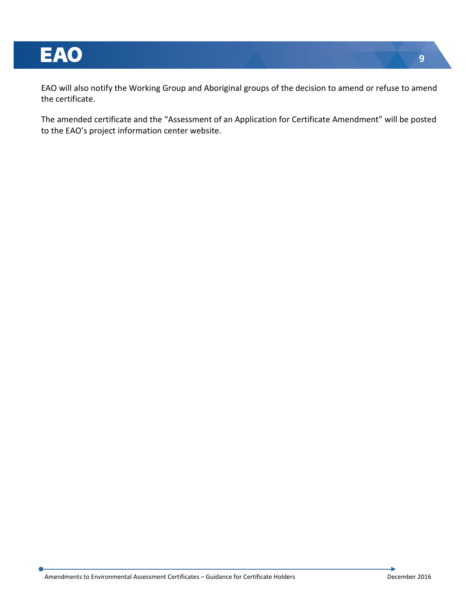EAO will also notify the Working Group and Aboriginal groups of the decision to amend or refuse to amend the certificate.

The amended certificate and the "Assessment of an Application for Certificate Amendment" will be posted to the EAO's project information center website.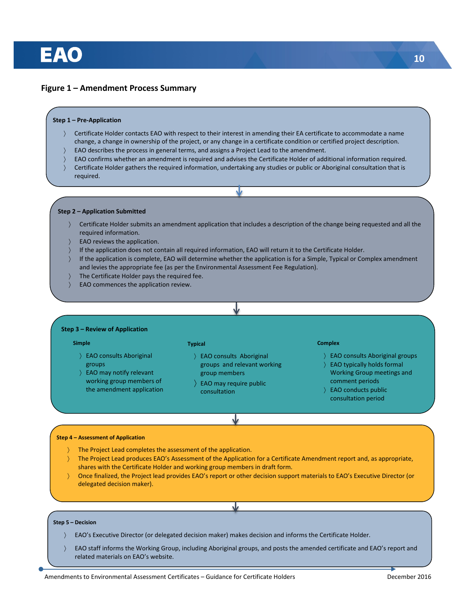#### **Figure 1 – Amendment Process Summary**

#### **Step 1 – Pre-Application**

- 〉 Certificate Holder contacts EAO with respect to their interest in amending their EA certificate to accommodate a name change, a change in ownership of the project, or any change in a certificate condition or certified project description.
- 〉 EAO describes the process in general terms, and assigns a Project Lead to the amendment.
- 〉 EAO confirms whether an amendment is required and advises the Certificate Holder of additional information required. 〉 Certificate Holder gathers the required information, undertaking any studies or public or Aboriginal consultation that is
- required.

Jz

#### **Step 2 – Application Submitted**

- 〉 Certificate Holder submits an amendment application that includes a description of the change being requested and all the required information.
- 〉 EAO reviews the application.
- If the application does not contain all required information, EAO will return it to the Certificate Holder.
- 〉 If the application is complete, EAO will determine whether the application is for a Simple, Typical or Complex amendment and levies the appropriate fee (as per the Environmental Assessment Fee Regulation).
- 〉 The Certificate Holder pays the required fee.
- EAO commences the application review.

#### **Step 3 – Review of Application**

#### **Simple**

#### **Typical**

- 〉 EAO consults Aboriginal groups
- 〉 EAO may notify relevant working group members of the amendment application
- 〉 EAO consults Aboriginal groups and relevant working group members
- 〉 EAO may require public consultation

#### **Complex**

- 〉 EAO consults Aboriginal groups
- 〉 EAO typically holds formal Working Group meetings and comment periods
- 〉 EAO conducts public consultation period

#### **Step 4 – Assessment of Application**

- The Project Lead completes the assessment of the application.
- 〉 The Project Lead produces EAO's Assessment of the Application for a Certificate Amendment report and, as appropriate, shares with the Certificate Holder and working group members in draft form.
- 〉 Once finalized, the Project lead provides EAO's report or other decision support materials to EAO's Executive Director (or delegated decision maker).

#### **Step 5 – Decision**

- 〉 EAO's Executive Director (or delegated decision maker) makes decision and informs the Certificate Holder.
- 〉 EAO staff informs the Working Group, including Aboriginal groups, and posts the amended certificate and EAO's report and related materials on EAO's website.

**10**